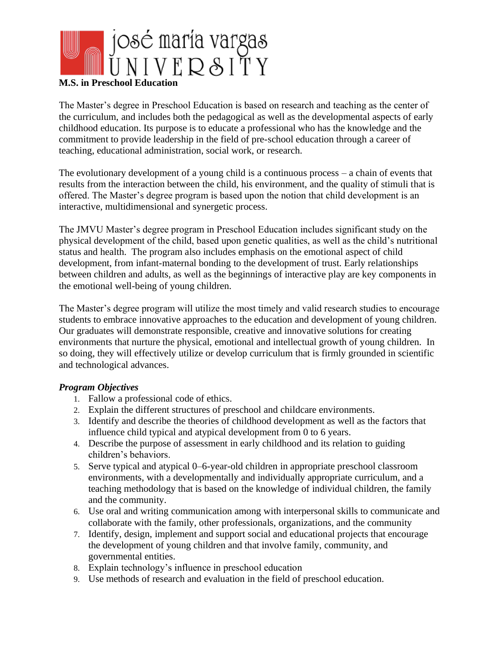

# **M.S. in Preschool Education**

The Master's degree in Preschool Education is based on research and teaching as the center of the curriculum, and includes both the pedagogical as well as the developmental aspects of early childhood education. Its purpose is to educate a professional who has the knowledge and the commitment to provide leadership in the field of pre-school education through a career of teaching, educational administration, social work, or research.

The evolutionary development of a young child is a continuous process – a chain of events that results from the interaction between the child, his environment, and the quality of stimuli that is offered. The Master's degree program is based upon the notion that child development is an interactive, multidimensional and synergetic process.

The JMVU Master's degree program in Preschool Education includes significant study on the physical development of the child, based upon genetic qualities, as well as the child's nutritional status and health. The program also includes emphasis on the emotional aspect of child development, from infant-maternal bonding to the development of trust. Early relationships between children and adults, as well as the beginnings of interactive play are key components in the emotional well-being of young children.

The Master's degree program will utilize the most timely and valid research studies to encourage students to embrace innovative approaches to the education and development of young children. Our graduates will demonstrate responsible, creative and innovative solutions for creating environments that nurture the physical, emotional and intellectual growth of young children. In so doing, they will effectively utilize or develop curriculum that is firmly grounded in scientific and technological advances.

### *Program Objectives*

- 1. Fallow a professional code of ethics.
- 2. Explain the different structures of preschool and childcare environments.
- 3. Identify and describe the theories of childhood development as well as the factors that influence child typical and atypical development from 0 to 6 years.
- 4. Describe the purpose of assessment in early childhood and its relation to guiding children's behaviors.
- 5. Serve typical and atypical 0–6-year-old children in appropriate preschool classroom environments, with a developmentally and individually appropriate curriculum, and a teaching methodology that is based on the knowledge of individual children, the family and the community.
- 6. Use oral and writing communication among with interpersonal skills to communicate and collaborate with the family, other professionals, organizations, and the community
- 7. Identify, design, implement and support social and educational projects that encourage the development of young children and that involve family, community, and governmental entities.
- 8. Explain technology's influence in preschool education
- 9. Use methods of research and evaluation in the field of preschool education.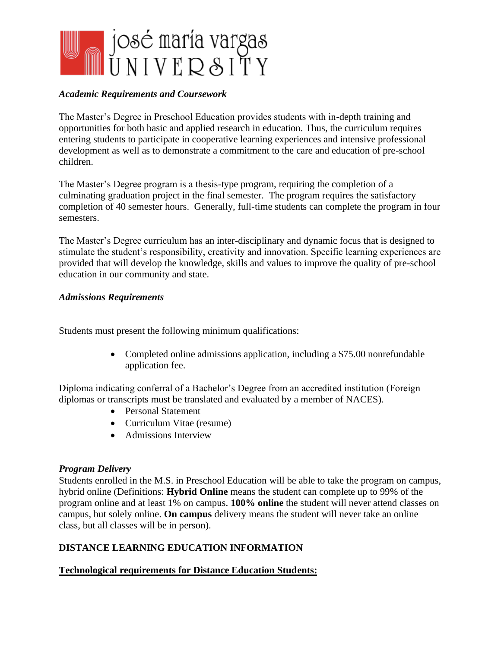

## *Academic Requirements and Coursework*

The Master's Degree in Preschool Education provides students with in-depth training and opportunities for both basic and applied research in education. Thus, the curriculum requires entering students to participate in cooperative learning experiences and intensive professional development as well as to demonstrate a commitment to the care and education of pre-school children.

The Master's Degree program is a thesis-type program, requiring the completion of a culminating graduation project in the final semester. The program requires the satisfactory completion of 40 semester hours. Generally, full-time students can complete the program in four semesters.

The Master's Degree curriculum has an inter-disciplinary and dynamic focus that is designed to stimulate the student's responsibility, creativity and innovation. Specific learning experiences are provided that will develop the knowledge, skills and values to improve the quality of pre-school education in our community and state.

### *Admissions Requirements*

Students must present the following minimum qualifications:

• Completed online admissions application, including a \$75.00 nonrefundable application fee.

Diploma indicating conferral of a Bachelor's Degree from an accredited institution (Foreign diplomas or transcripts must be translated and evaluated by a member of NACES).

- Personal Statement
- Curriculum Vitae (resume)
- Admissions Interview

### *Program Delivery*

Students enrolled in the M.S. in Preschool Education will be able to take the program on campus, hybrid online (Definitions: **Hybrid Online** means the student can complete up to 99% of the program online and at least 1% on campus. **100% online** the student will never attend classes on campus, but solely online. **On campus** delivery means the student will never take an online class, but all classes will be in person).

## **DISTANCE LEARNING EDUCATION INFORMATION**

### **Technological requirements for Distance Education Students:**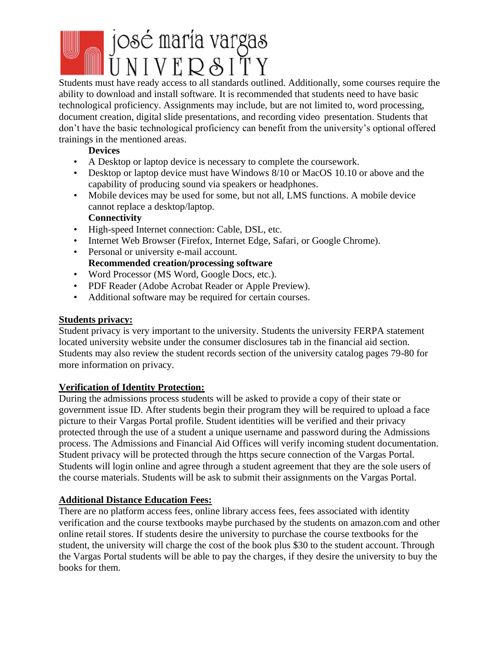# josé maría vargas<br>UNIVERSITY

Students must have ready access to all standards outlined. Additionally, some courses require the ability to download and install software. It is recommended that students need to have basic technological proficiency. Assignments may include, but are not limited to, word processing, document creation, digital slide presentations, and recording video presentation. Students that don't have the basic technological proficiency can benefit from the university's optional offered trainings in the mentioned areas.

## **Devices**

- A Desktop or laptop device is necessary to complete the coursework.
- Desktop or laptop device must have Windows 8/10 or MacOS 10.10 or above and the capability of producing sound via speakers or headphones.
- Mobile devices may be used for some, but not all, LMS functions. A mobile device cannot replace a desktop/laptop. **Connectivity**
- High-speed Internet connection: Cable, DSL, etc.
- Internet Web Browser (Firefox, Internet Edge, Safari, or Google Chrome).
- Personal or university e-mail account. **Recommended creation/processing software**
- Word Processor (MS Word, Google Docs, etc.).
- PDF Reader (Adobe Acrobat Reader or Apple Preview).
- Additional software may be required for certain courses.

# **Students privacy:**

Student privacy is very important to the university. Students the university FERPA statement located university website under the consumer disclosures tab in the financial aid section. Students may also review the student records section of the university catalog pages 79-80 for more information on privacy.

# **Verification of Identity Protection:**

During the admissions process students will be asked to provide a copy of their state or government issue ID. After students begin their program they will be required to upload a face picture to their Vargas Portal profile. Student identities will be verified and their privacy protected through the use of a student a unique username and password during the Admissions process. The Admissions and Financial Aid Offices will verify incoming student documentation. Student privacy will be protected through the https secure connection of the Vargas Portal. Students will login online and agree through a student agreement that they are the sole users of the course materials. Students will be ask to submit their assignments on the Vargas Portal.

# **Additional Distance Education Fees:**

There are no platform access fees, online library access fees, fees associated with identity verification and the course textbooks maybe purchased by the students on amazon.com and other online retail stores. If students desire the university to purchase the course textbooks for the student, the university will charge the cost of the book plus \$30 to the student account. Through the Vargas Portal students will be able to pay the charges, if they desire the university to buy the books for them.